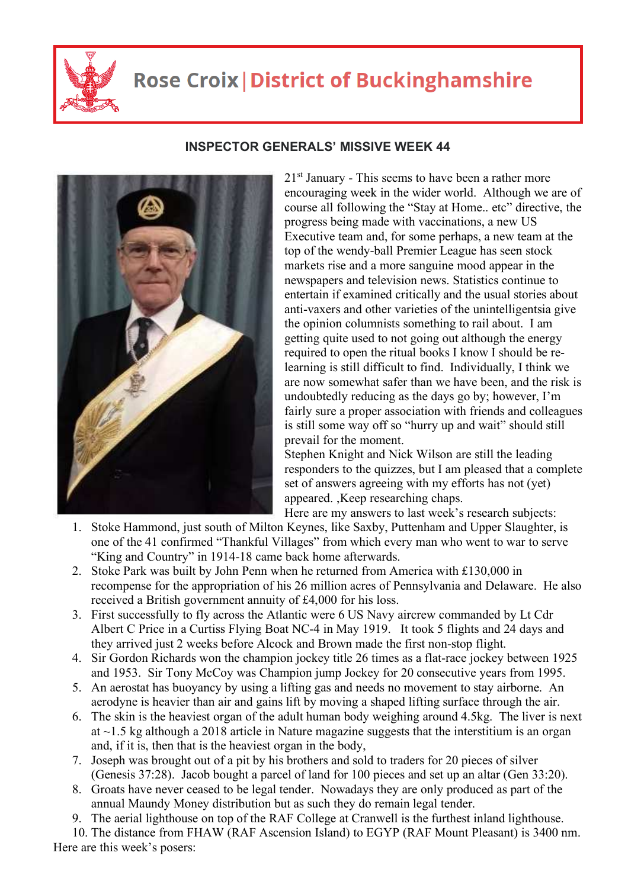

## **Rose Croix | District of Buckinghamshire**



## **INSPECTOR GENERALS' MISSIVE WEEK 44**

 $21<sup>st</sup>$  January - This seems to have been a rather more encouraging week in the wider world. Although we are of course all following the "Stay at Home.. etc" directive, the progress being made with vaccinations, a new US Executive team and, for some perhaps, a new team at the top of the wendy-ball Premier League has seen stock markets rise and a more sanguine mood appear in the newspapers and television news. Statistics continue to entertain if examined critically and the usual stories about anti-vaxers and other varieties of the unintelligentsia give the opinion columnists something to rail about. I am getting quite used to not going out although the energy required to open the ritual books I know I should be relearning is still difficult to find. Individually, I think we are now somewhat safer than we have been, and the risk is undoubtedly reducing as the days go by; however, I'm fairly sure a proper association with friends and colleagues is still some way off so "hurry up and wait" should still prevail for the moment.

Stephen Knight and Nick Wilson are still the leading responders to the quizzes, but I am pleased that a complete set of answers agreeing with my efforts has not (yet) appeared. ,Keep researching chaps.

Here are my answers to last week's research subjects:

- 1. Stoke Hammond, just south of Milton Keynes, like Saxby, Puttenham and Upper Slaughter, is one of the 41 confirmed "Thankful Villages" from which every man who went to war to serve "King and Country" in 1914-18 came back home afterwards.
- 2. Stoke Park was built by John Penn when he returned from America with £130,000 in recompense for the appropriation of his 26 million acres of Pennsylvania and Delaware. He also received a British government annuity of £4,000 for his loss.
- 3. First successfully to fly across the Atlantic were 6 US Navy aircrew commanded by Lt Cdr Albert C Price in a Curtiss Flying Boat NC-4 in May 1919. It took 5 flights and 24 days and they arrived just 2 weeks before Alcock and Brown made the first non-stop flight.
- 4. Sir Gordon Richards won the champion jockey title 26 times as a flat-race jockey between 1925 and 1953. Sir Tony McCoy was Champion jump Jockey for 20 consecutive years from 1995.
- 5. An aerostat has buoyancy by using a lifting gas and needs no movement to stay airborne. An aerodyne is heavier than air and gains lift by moving a shaped lifting surface through the air.
- 6. The skin is the heaviest organ of the adult human body weighing around 4.5kg. The liver is next at ~1.5 kg although a 2018 article in Nature magazine suggests that the interstitium is an organ and, if it is, then that is the heaviest organ in the body,
- 7. Joseph was brought out of a pit by his brothers and sold to traders for 20 pieces of silver (Genesis 37:28). Jacob bought a parcel of land for 100 pieces and set up an altar (Gen 33:20).
- 8. Groats have never ceased to be legal tender. Nowadays they are only produced as part of the annual Maundy Money distribution but as such they do remain legal tender.
- 9. The aerial lighthouse on top of the RAF College at Cranwell is the furthest inland lighthouse.

10. The distance from FHAW (RAF Ascension Island) to EGYP (RAF Mount Pleasant) is 3400 nm. Here are this week's posers: